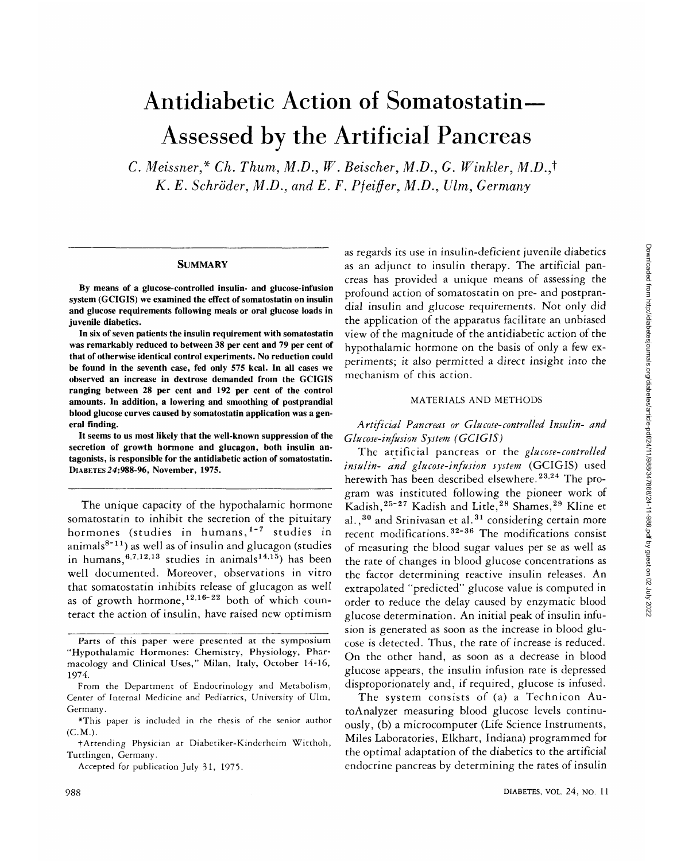# Antidiabetic Action of Somatostatin— Assessed by the Artificial Pancreas

*C. Meissner\* Ch. Thum, M.D., W. Beischer, M.D., G. Winkler, M.D.J K. E. Schroder, M.D., and E. F. Pfeiffer, M.D., Ulm, Germany*

#### **SUMMARY**

**By means of a glucose-controlled insulin- and glucose-infusion system (GCIGIS) we examined the effect of somatostatin on insulin and glucose requirements following meals or oral glucose loads in juvenile diabetics.**

**In six of seven patients the insulin requirement with somatostatin was remarkably reduced to between 38 per cent and 79 per cent of that of otherwise identical control experiments. No reduction could be found in the seventh case, fed only 575 kcal. In all cases we observed an increase in dextrose demanded from the GCIGIS ranging between 28 per cent and 192 per cent of the control amounts. In addition, a lowering and smoothing of postprandial blood glucose curves caused by somatostatin application was a general finding.**

**It seems to us most likely that the well-known suppression of the secretion of growth hormone and glucagon, both insulin antagonists, is responsible for the antidiabetic action of somatostatin. DIABETES 24:988-96, November, 1975.**

The unique capacity of the hypothalamic hormone somatostatin to inhibit the secretion of the pituitary hormones (studies in humans,<sup>1-7</sup> studies in animals<sup>8-11</sup>) as well as of insulin and glucagon (studies in humans,  $6.7,12,13$  studies in animals $14,15$ ) has been well documented. Moreover, observations in vitro that somatostatin inhibits release of glucagon as well as of growth hormone,  $12.16-22$  both of which counteract the action of insulin, have raised new optimism

as regards its use in insulin-deficient juvenile diabetics as an adjunct to insulin therapy. The artificial pancreas has provided a unique means of assessing the profound action of somatostatin on pre- and postprandial insulin and glucose requirements. Not only did the application of the apparatus facilitate an unbiased view of the magnitude of the antidiabetic action of the hypothalamic hormone on the basis of only a few experiments; it also permitted a direct insight into the mechanism of this action.

## MATERIALS AND METHODS

*Artificial Pancreas or Glucose-controlled Insulin- and Glucose-infusion System (GCIGIS)*

The artificial pancreas or the *glucose-controlled insulin- and glucose-infusion system* (GCIGIS) used herewith has been described elsewhere.<sup>23,24</sup> The program was instituted following the pioneer work of Kadish,<sup>25-27</sup> Kadish and Litle,<sup>28</sup> Shames,<sup>29</sup> Kline et al.,<sup>30</sup> and Srinivasan et al.<sup>31</sup> considering certain more recent modifications.<sup>32-36</sup> The modifications consist of measuring the blood sugar values per se as well as the rate of changes in blood glucose concentrations as the factor determining reactive insulin releases. An extrapolated "predicted" glucose value is computed in order to reduce the delay caused by enzymatic blood glucose determination. An initial peak of insulin infusion is generated as soon as the increase in blood glucose is detected. Thus, the rate of increase is reduced. On the other hand, as soon as a decrease in blood glucose appears, the insulin infusion rate is depressed disproporionately and, if required, glucose is infused.

The system consists of (a) a Technicon AutoAnalyzer measuring blood glucose levels continuously, (b) a microcomputer (Life Science Instruments, Miles Laboratories, Elkhart, Indiana) programmed for the optimal adaptation of the diabetics to the artificial endocrine pancreas by determining the rates of insulin

Parts of this paper were presented at the symposium "Hypothalamic Hormones: Chemistry, Physiology, Pharmacology and Clinical Uses," Milan, Italy, October 14-16, 1974.

From the Department of Endocrinology and Metabolism, Center of Internal Medicine and Pediatrics, University of Ulm, Germany.

<sup>\*</sup>This paper is included in the thesis of the senior author  $(C.M.)$ .

fAttending Physician at Diabetiker-Kinderheim Witthoh, Tuttlingen, Germany.

Accepted for publication July 31, 1975.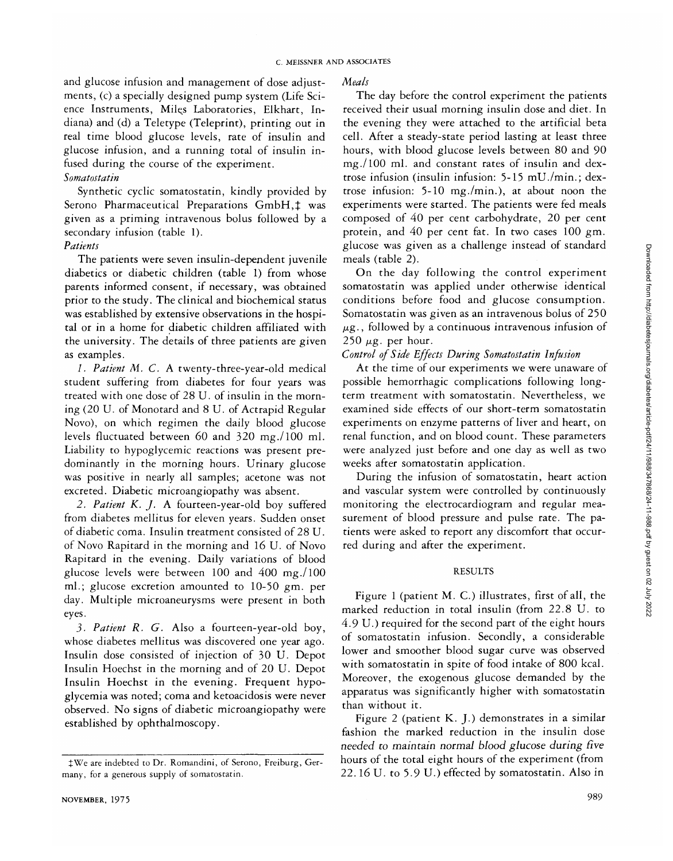and glucose infusion and management of dose adjustments, (c) a specially designed pump system (Life Science Instruments, Miles Laboratories, Elkhart, Indiana) and (d) a Teletype (Teleprint), printing out in real time blood glucose levels, rate of insulin and glucose infusion, and a running total of insulin infused during the course of the experiment.

## *Somatostatin*

Synthetic cyclic somatostatin, kindly provided by Serono Pharmaceutical Preparations GmbH,  $\ddagger$  was given as a priming intravenous bolus followed by a secondary infusion (table 1).

# *Patients*

The patients were seven insulin-dependent juvenile diabetics or diabetic children (table 1) from whose parents informed consent, if necessary, was obtained prior to the study. The clinical and biochemical status was established by extensive observations in the hospital or in a home for diabetic children affiliated with the university. The details of three patients are given as examples.

*1. Patient M. C.* A twenty-three-year-old medical student suffering from diabetes for four years was treated with one dose of 28 U. of insulin in the morning (20 U. of Monotard and 8 U. of Actrapid Regular Novo), on which regimen the daily blood glucose levels fluctuated between 60 and 320 mg./lOO ml. Liability to hypoglycemic reactions was present predominantly in the morning hours. Urinary glucose was positive in nearly all samples; acetone was not excreted. Diabetic microangiopathy was absent.

*2. Patient K. J.* A fourteen-year-old boy suffered from diabetes mellitus for eleven years. Sudden onset of diabetic coma. Insulin treatment consisted of 28 U. of Novo Rapitard in the morning and 16 U. of Novo Rapitard in the evening. Daily variations of blood glucose levels were between 100 and 400 mg./lOO ml.; glucose excretion amounted to 10-50 gm. per day. Multiple microaneurysms were present in both eyes.

3. *Patient R. G.* Also a fourteen-year-old boy, whose diabetes mellitus was discovered one year ago. Insulin dose consisted of injection of 30 U. Depot Insulin Hoechst in the morning and of 20 U. Depot Insulin Hoechst in the evening. Frequent hypoglycemia was noted; coma and ketoacidosis were never observed. No signs of diabetic microangiopathy were established by ophthalmoscopy.

## *Meals*

The day before the control experiment the patients received their usual morning insulin dose and diet. In the evening they were attached to the artificial beta cell. After a steady-state period lasting at least three hours, with blood glucose levels between 80 and 90 mg./lOO ml. and constant rates of insulin and dextrose infusion (insulin infusion: 5-15 mU./min.; dextrose infusion: 5-10 mg./min.), at about noon the experiments were started. The patients were fed meals composed of 40 per cent carbohydrate, 20 per cent protein, and 40 per cent fat. In two cases 100 gm. glucose was given as a challenge instead of standard meals (table 2).

On the day following the control experiment somatostatin was applied under otherwise identical conditions before food and glucose consumption. Somatostatin was given as an intravenous bolus of 250  $\mu$ g., followed by a continuous intravenous infusion of  $250 \mu$ g. per hour.

# *Control of Side Effects During Somatostatin Infusion*

At the time of our experiments we were unaware of possible hemorrhagic complications following longterm treatment with somatostatin. Nevertheless, we examined side effects of our short-term somatostatin experiments on enzyme patterns of liver and heart, on renal function, and on blood count. These parameters were analyzed just before and one day as well as two weeks after somatostatin application.

During the infusion of somatostatin, heart action and vascular system were controlled by continuously monitoring the electrocardiogram and regular measurement of blood pressure and pulse rate. The patients were asked to report any discomfort that occurred during and after the experiment.

## RESULTS

Figure 1 (patient M. C.) illustrates, first of all, the marked reduction in total insulin (from 22.8 U. to 4.9 U.) required for the second part of the eight hours of somatostatin infusion. Secondly, a considerable lower and smoother blood sugar curve was observed with somatostatin in spite of food intake of 800 kcal. Moreover, the exogenous glucose demanded by the apparatus was significantly higher with somatostatin than without it.

Figure 2 (patient K. J.) demonstrates in a similar fashion the marked reduction in the insulin dose *needed to maintain normal blood glucose during five* hours of the total eight hours of the experiment (from 22.16 U. to 5.9 U.) effected by somatostatin. Also in

JWe are indebted to Dr. Romandini, of Serono, Freiburg, Germany, for a generous supply of somatostatin.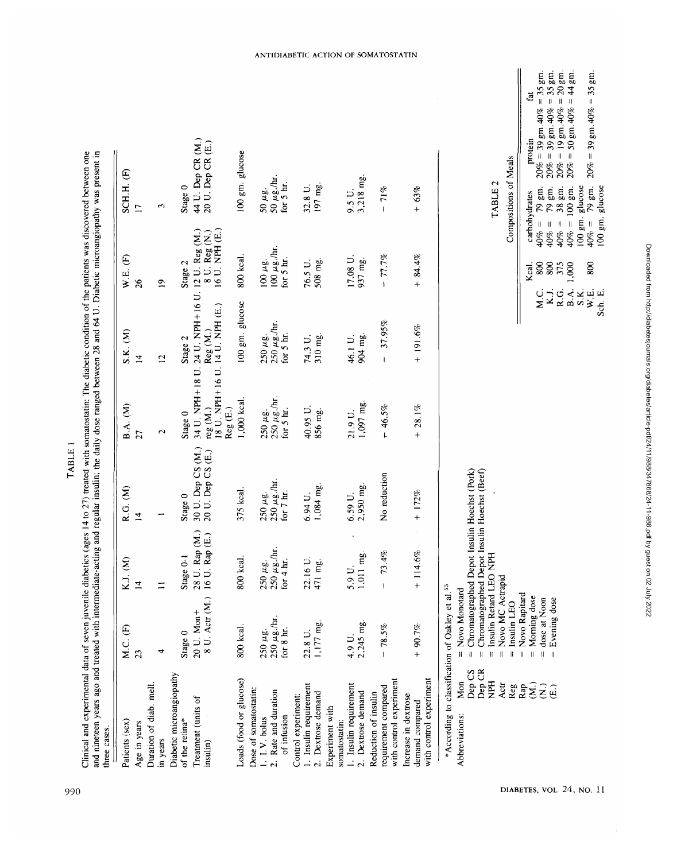| Patients (sex)                                              | M.C. (F)                                                  | K.J. (M)                                        | R.G. (M)                                       | <b>B.A.</b> (M)                                                                                                                           | S.K. (M)                                       | W.E. (F)                  | SCH.H. (F)                                                                                   |
|-------------------------------------------------------------|-----------------------------------------------------------|-------------------------------------------------|------------------------------------------------|-------------------------------------------------------------------------------------------------------------------------------------------|------------------------------------------------|---------------------------|----------------------------------------------------------------------------------------------|
| Age in years                                                | 23                                                        | $\overline{4}$                                  | $\overline{4}$                                 | 27                                                                                                                                        | $\overline{1}$                                 | 26                        | $\Box$                                                                                       |
| Duration of diab. mell                                      |                                                           |                                                 |                                                |                                                                                                                                           |                                                |                           |                                                                                              |
| in years                                                    | 4                                                         | $\equiv$                                        | ÷                                              | $\mathbf{c}$                                                                                                                              | $\overline{c}$                                 | $\overline{a}$            | 3                                                                                            |
| Diabetic microangiopathy                                    |                                                           |                                                 |                                                |                                                                                                                                           |                                                |                           |                                                                                              |
| of the retina*                                              | Stage 0                                                   | Stage 0-1                                       | Stage 0                                        | Stage 0                                                                                                                                   | Stage 2                                        | Stage 2                   | Stage 0                                                                                      |
| Treatment (units of<br>insulin)                             | 20 U. Mon+                                                | 28 U. Rap (M.)<br>8 U. Actr (M.) 16 U. Rap (E.) | 30 U. Dep CS (M.)<br>20 U. Dep CS (E.)         |                                                                                                                                           | 34 U. NPH+18 U. 24 U. NPH+16 U. 12 U. Reg (M.) | 8 U. Reg (N.)             | 44 U. Dep CR (M.)<br>20 U. Dep CR (E.)                                                       |
|                                                             |                                                           |                                                 |                                                | $\begin{array}{lll} {\rm reg}\,({\rm M}.) & {\rm Reg}\,({\rm M}.) & \ 18\,$ U . NPH + 16 U . 14 U . NPH (E.)<br>$\text{Reg}\ (\text{E.})$ |                                                | 16 U. NPH (E.)            |                                                                                              |
| Loads (food or glucose)                                     | 800 kcal                                                  | kcal.<br>800                                    | 375 kcal.                                      | 1,000 kcal.                                                                                                                               | 100 gm. glucose                                | 800 kcal.                 | 100 gm. glucose                                                                              |
| Dose of somatostatin:                                       |                                                           |                                                 |                                                |                                                                                                                                           |                                                |                           |                                                                                              |
| 1. I.V. bolus                                               | $250~\mu{\rm g}.$<br>$250~\mu{\rm g}$ ./hr.               | $\mu$ g.<br>איפּ./hr.<br>250                    | $250 \mu$ g.                                   | $250~\mu{\rm g}.$ $250~\mu{\rm g}.{\rm /hr}.$                                                                                             | $250 \mu$ g.                                   | 100 μg.<br>100 μg./hr.    | $50 \ \mu$ g.                                                                                |
| 2. Rate and duration<br>of infusion                         | for 8 hr.                                                 | for $4 \text{ hr}$ .<br>250                     | $250~\mu\text{g}$ /hr.<br>for $7 \text{ hr}$ . | for 5 hr.                                                                                                                                 | $250 \ \mu g$ ./hr.<br>for $5 \text{ hr}$ .    | for $5 \text{ hr}$ .      | 50 $\mu$ g./hr.<br>for $5 \text{ hr}$ .                                                      |
|                                                             |                                                           |                                                 |                                                |                                                                                                                                           |                                                |                           |                                                                                              |
| 1. Insulin requirement<br>Control experiment:               | 22.8 U.                                                   | 16 U.                                           | 6.94 U.                                        | 40.95 U.                                                                                                                                  | 74.3 U.                                        | 76.5 U.                   | 32.8 U.                                                                                      |
| 2. Dextrose demand                                          | 1,177 mg.                                                 | mg.<br>$\frac{22.1}{471}$                       | 1,084 mg.                                      | 856 mg.                                                                                                                                   | 310 mg.                                        | 508 mg.                   | 197 mg.                                                                                      |
| Experiment with                                             |                                                           |                                                 |                                                |                                                                                                                                           |                                                |                           |                                                                                              |
| somatostatin:                                               |                                                           |                                                 |                                                |                                                                                                                                           |                                                |                           |                                                                                              |
| 1. Insulin requirement<br>2. Dextrose demand                | 2,245 mg<br>4.9 U.                                        | $5.9 U.$<br>1,011 mg.                           | 2,950 mg.<br>$6.59$ U.                         | 1,097 mg<br>21.9 U.                                                                                                                       | 904 mg.<br>46.1 U.                             | 17.08 U.<br>937 mg.       | $9.5 U.$<br>$3.218 mg.$                                                                      |
| Reduction of insulin                                        |                                                           |                                                 |                                                |                                                                                                                                           |                                                |                           |                                                                                              |
| requirement compared                                        | $-78.5%$                                                  | 73.4%<br>$\mathbf{I}$                           | No reduction                                   | $-46.5%$                                                                                                                                  | 37.95%<br>$\overline{1}$                       | $-77.7%$                  | $-71%$                                                                                       |
| with control experiment                                     |                                                           |                                                 |                                                |                                                                                                                                           |                                                |                           |                                                                                              |
| Increase in dextrose                                        |                                                           |                                                 | $+ 172%$                                       |                                                                                                                                           |                                                |                           | $+ 63%$                                                                                      |
| with control experiment<br>demand compared                  | $+90.7%$                                                  | 114.6%<br>$\ddot{}$                             |                                                | $+28.1%$                                                                                                                                  | $+ 191.6%$                                     | $+ 84.4%$                 |                                                                                              |
| *According to classification of Oakley et al. <sup>55</sup> |                                                           |                                                 |                                                |                                                                                                                                           |                                                |                           |                                                                                              |
| Mon<br>Abbreviations:                                       | $=$ Novo Monotard                                         |                                                 |                                                |                                                                                                                                           |                                                |                           |                                                                                              |
| Dep CS                                                      | Chromatographed<br>$\mathbf{I}$                           |                                                 | Depot Insulin Hoechst (Pork)                   |                                                                                                                                           |                                                |                           |                                                                                              |
| Dep CR                                                      | Chromatographed 1<br>$\mathbf{I}$                         |                                                 | Depot Insulin Hoechst (Beef)                   |                                                                                                                                           |                                                |                           |                                                                                              |
| <b>HdN</b>                                                  | Insulin Retard LEC<br>$\parallel$                         | <b>HaNC</b>                                     |                                                |                                                                                                                                           |                                                |                           | TABLE <sub>2</sub>                                                                           |
| Actr                                                        | Novo MC Actrapid<br>$\begin{array}{c} \hline \end{array}$ |                                                 |                                                |                                                                                                                                           |                                                |                           |                                                                                              |
| Reg                                                         | Insulin LEO<br>$\parallel$                                |                                                 |                                                |                                                                                                                                           |                                                |                           | Compositions of Meals                                                                        |
| Rap                                                         | Novo Rapitard<br>$\ensuremath{\mathsf{H}}$                |                                                 |                                                |                                                                                                                                           |                                                | Kcal                      |                                                                                              |
| $\overline{S}$                                              | Morning dose<br>$\parallel$                               |                                                 |                                                |                                                                                                                                           | Λ.C.                                           | $40% =$<br>800            | ដើ<br>protein<br>carbohydrates                                                               |
| $\widehat{\mathsf{z}}$                                      | dose at Noon<br>$\parallel$                               |                                                 |                                                |                                                                                                                                           | KJ.                                            | $\parallel$<br>40%<br>800 | $= 35$ gm.<br>$= 35$ gm.<br>$20\% = 39$ gm. $40\%$<br>$79~\mathrm{gm}.$<br>$79~\mathrm{gm}.$ |
| $\widehat{E}$                                               | Evening dose                                              |                                                 |                                                |                                                                                                                                           | R.G.                                           | $40% =$<br>375            | $= 20$ gm.<br>$20\% = 39$ gm. $40\%$<br>$20\% = 19$ gm. $40\%$<br>38 gm.                     |
|                                                             |                                                           |                                                 |                                                |                                                                                                                                           | B.A.                                           | 1,000                     | $=44$ gm.<br>$20\% = 50$ gm. $40\%$<br>$40\% = 100$ gm.                                      |
|                                                             |                                                           |                                                 |                                                |                                                                                                                                           | S.K.                                           | $40% =$<br>800            | 100 gm. glucose                                                                              |
|                                                             |                                                           |                                                 |                                                |                                                                                                                                           | W.E.<br>Sch. E.                                |                           | $20\% = 39$ gm. $40\% = 35$ gm.<br>$\frac{1}{2}$ 9 gm.<br>100 gm. glucose                    |
|                                                             |                                                           |                                                 |                                                |                                                                                                                                           |                                                |                           |                                                                                              |

#### ANTIDIABETIC ACTION OF SOMATOSTATIN

Downloaded from http://diabetesjournals.org/diabetes/article-pdf/24/11/988/347868/24-11-988.pdf by guest on 02 July 2022 Downloaded from http://diabetesjournals.org/diabetes/article-pdf/24/11/988/347868/24-11-988.pdf by guest on 02 July 2022

TABLE 1

TABLE 1

DIABETES, VOL. 24, NO. 11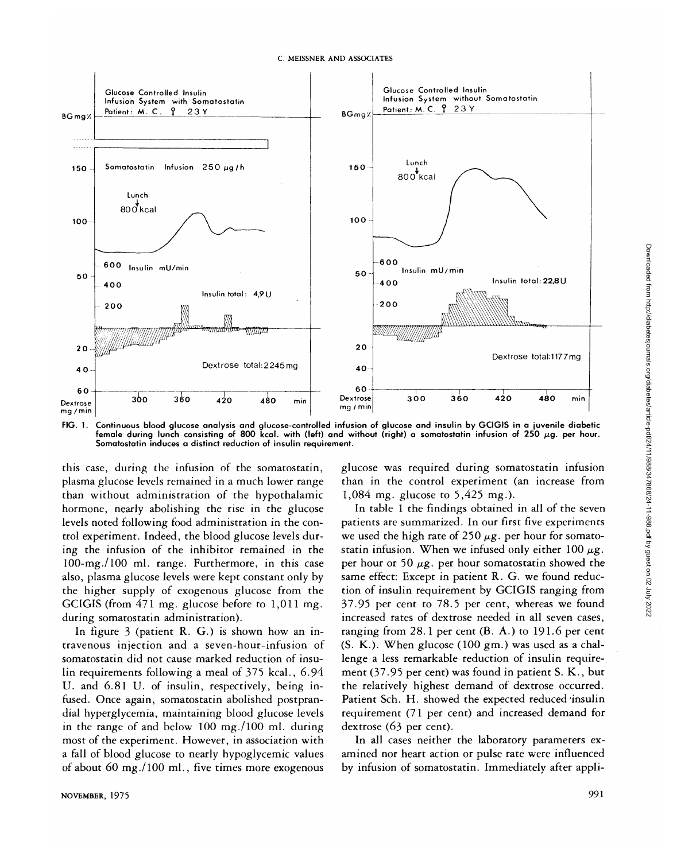

**FIG. 1.** Continuous blood glucose analysis and glucose-controlled infusion of glucose and insulin by GCIGIS in a juvenile diabetic female during lunch consisting of 800 kcal. with (left) and without (right) a somatostatin infusion of 250  $\mu$ g. per hour. Somatostatin induces a distinct reduction of insulin requirement.

this case, during the infusion of the somatostatin, plasma glucose levels remained in a much lower range than without administration of the hypothalamic hormone, nearly abolishing the rise in the glucose levels noted following food administration in the control experiment. Indeed, the blood glucose levels during the infusion of the inhibitor remained in the lOO-mg./lOO ml. range. Furthermore, in this case also, plasma glucose levels were kept constant only by the higher supply of exogenous glucose from the GCIGIS (from 471 mg. glucose before to 1,011 mg. during somatostatin administration).

In figure 3 (patient R. G.) is shown how an intravenous injection and a seven-hour-infusion of somatostatin did not cause marked reduction of insulin requirements following a meal of 375 kcal., 6.94 U. and 6.81 U. of insulin, respectively, being infused. Once again, somatostatin abolished postprandial hyperglycemia, maintaining blood glucose levels in the range of and below 100 mg./lOO ml. during most of the experiment. However, in association with a fall of blood glucose to nearly hypoglycemic values of about 60 mg./lOO ml., five times more exogenous glucose was required during somatostatin infusion than in the control experiment (an increase from 1,084 mg. glucose to 5,425 mg.).

In table 1 the findings obtained in all of the seven patients are summarized. In our first five experiments we used the high rate of 250  $\mu$ g. per hour for somatostatin infusion. When we infused only either  $100 \mu g$ . per hour or 50  $\mu$ g. per hour somatostatin showed the same effect: Except in patient R. G. we found reduction of insulin requirement by GCIGIS ranging from 37.95 per cent to 78.5 per cent, whereas we found increased rates of dextrose needed in all seven cases, ranging from 28.1 per cent (B. A.) to 191-6 per cent (S. K.). When glucose (100 gm.) was used as a challenge a less remarkable reduction of insulin requirement (37.95 per cent) was found in patient S. K., but the relatively highest demand of dextrose occurred. Patient Sch. H. showed the expected reduced'insulin requirement (71 per cent) and increased demand for dextrose (63 per cent).

In all cases neither the laboratory parameters examined nor heart action or pulse rate were influenced by infusion of somatostatin. Immediately after appliDownloaded from http://diabetesjournals.org/diabetes/article-pdf/24/11/988/347868/24-11-988.pdf by guest on 02 July 2022

Downloaded from http://diabetesjournals.org/diabetes/article-pdf/24/11/988/347868/24-11-988.pdf by guest on 02 July 2022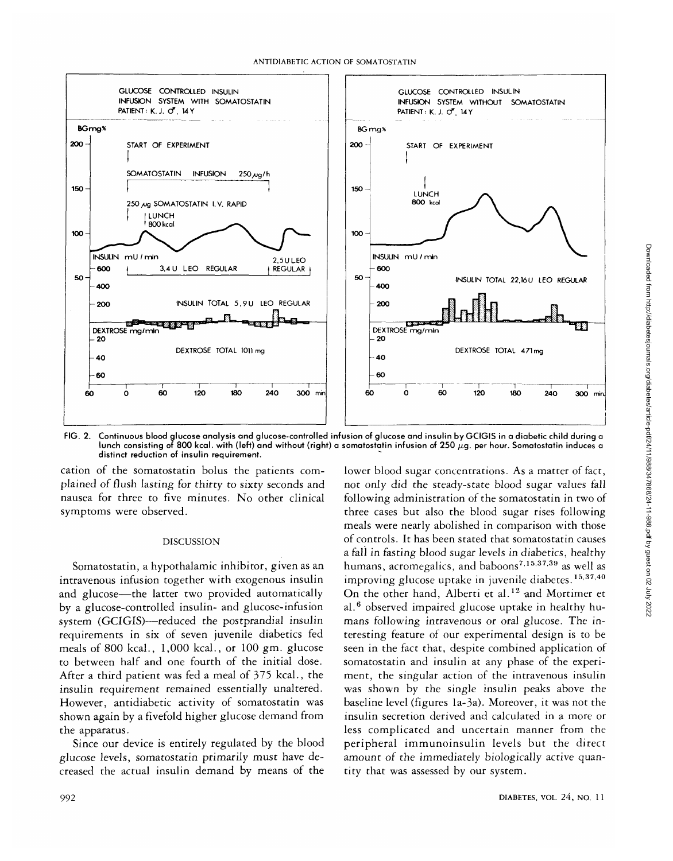

FIG. 2. Continuous blood glucose analysis and glucose-controlled infusion of glucose and insulin by GCIGIS in a diabetic child during a lunch consisting of 800 kcal. with (left) and without (right) a somatostatin infusion of 250  $\mu$ g. per hour. Somatostatin induces a distinct reduction of insulin requirement.

cation of the somatostatin bolus the patients complained of flush lasting for thirty to sixty seconds and nausea for three to five minutes. No other clinical symptoms were observed.

#### DISCUSSION

Somatostatin, a hypothalamic inhibitor, given as an intravenous infusion together with exogenous insulin and glucose—the latter two provided automatically by a glucose-controlled insulin- and glucose-infusion system (GCIGIS)—reduced the postprandial insulin requirements in six of seven juvenile diabetics fed meals of 800 kcal., 1,000 kcal., or 100 gm. glucose to between half and one fourth of the initial dose. After a third patient was fed a meal of 375 kcal., the insulin requirement remained essentially unaltered. However, antidiabetic activity of somatostatin was shown again by a fivefold higher glucose demand from the apparatus.

Since our device is entirely regulated by the blood glucose levels, somatostatin primarily must have decreased the actual insulin demand by means of the lower blood sugar concentrations. As a matter of fact, not only did the steady-state blood sugar values fall following administration of the somatostatin in two of three cases but also the blood sugar rises following meals were nearly abolished in comparison with those of controls. It has been stated that somatostatin causes a fall in fasting blood sugar levels in diabetics, healthy humans, acromegalics, and baboons<sup>7,15,37,39</sup> as well as improving glucose uptake in juvenile diabetes.<sup>15,37,40</sup> On the other hand, Alberti et al.<sup>12</sup> and Mortimer et al.<sup>6</sup> observed impaired glucose uptake in healthy humans following intravenous or oral glucose. The interesting feature of our experimental design is to be seen in the fact that, despite combined application of somatostatin and insulin at any phase of the experiment, the singular action of the intravenous insulin was shown by the single insulin peaks above the baseline level (figures la-3a). Moreover, it was not the insulin secretion derived and calculated in a more or less complicated and uncertain manner from the peripheral immunoinsulin levels but the direct amount of the immediately biologically active quantity that was assessed by our system.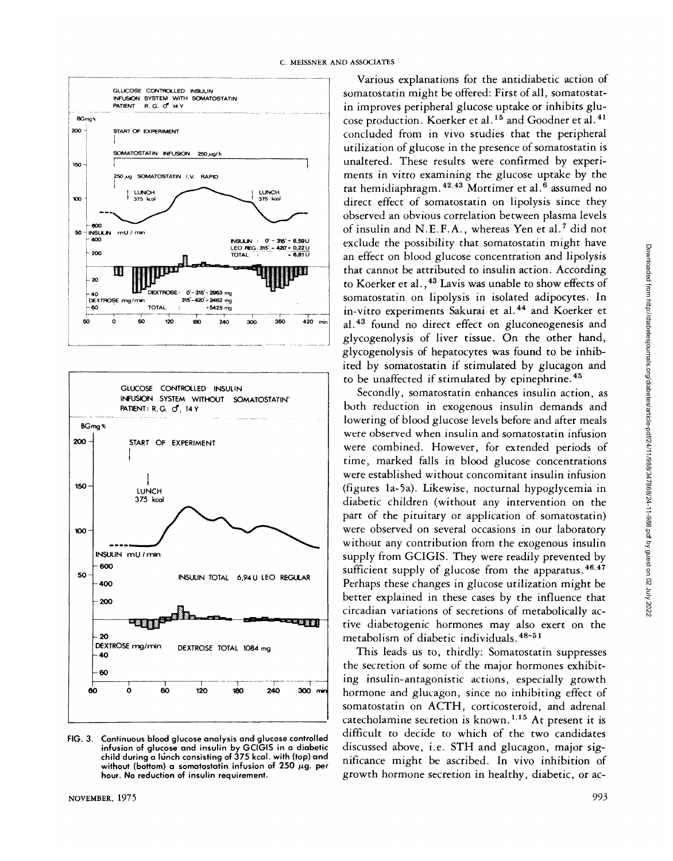



**FIG. 3. Continuous blood glucose analysis and glucose controlled infusion of glucose and insulin by GCIGIS in a diabetic child during a lunch consisting of 375 kcal. with (top) and** without (bottom) a somatostatin infusion of  $250 \mu$ g. per **hour. No reduction of insulin requirement.**

Various explanations for the antidiabetic action of somatostatin might be offered: First of all, somatostatin improves peripheral glucose uptake or inhibits glucose production. Koerker et al.<sup>15</sup> and Goodner et al.<sup>41</sup> concluded from in vivo studies that the peripheral utilization of glucose in the presence of somatostatin is unaltered. These results were confirmed by experiments in vitro examining the glucose uptake by the rat hemidiaphragm. <sup>42,43</sup> Mortimer et al.<sup>6</sup> assumed no direct effect of somatostatin on lipolysis since they observed an obvious correlation between plasma levels of insulin and N.E.F.A., whereas Yen et al.<sup>7</sup> did not exclude the possibility that somatostatin might have an effect on blood glucose concentration and lipolysis that cannot be attributed to insulin action. According to Koerker et al., <sup>43</sup> Lavis was unable to show effects of somatostatin on lipolysis in isolated adipocytes. In in-vitro experiments Sakurai et al.<sup>44</sup> and Koerker et al.<sup>43</sup> found no direct effect on gluconeogenesis and glycogenolysis of liver tissue. On the other hand, glycogenolysis of hepatocytes was found to be inhibited by somatostatin if stimulated by glucagon and to be unaffected if stimulated by epinephrine.<sup>45</sup>

Secondly, somatostatin enhances insulin action, as both reduction in exogenous insulin demands and lowering of blood glucose levels before and after meals were observed when insulin and somatostatin infusion were combined. However, for extended periods of time, marked falls in blood glucose concentrations were established without concomitant insulin infusion (figures la-5a). Likewise, nocturnal hypoglycemia in diabetic children (without any intervention on the part of the pituitary or application of somatostatin) were observed on several occasions in our laboratory without any contribution from the exogenous insulin supply from GCIGIS. They were readily prevented by sufficient supply of glucose from the apparatus.<sup>46,47</sup> Perhaps these changes in glucose utilization might be better explained in these cases by the influence that circadian variations of secretions of metabolically active diabetogenic hormones may also exert on the metabolism of diabetic individuals.<sup>48-51</sup>

This leads us to, thirdly: Somatostatin suppresses the secretion of some of the major hormones exhibiting insulin-antagonistic actions, especially growth hormone and glucagon, since no inhibiting effect of somatostatin on ACTH, corticosteroid, and adrenal catecholamine secretion is known.<sup>1,15</sup> At present it is difficult to decide to which of the two candidates discussed above, i.e. STH and glucagon, major significance might be ascribed. In vivo inhibition of growth hormone secretion in healthy, diabetic, or ac-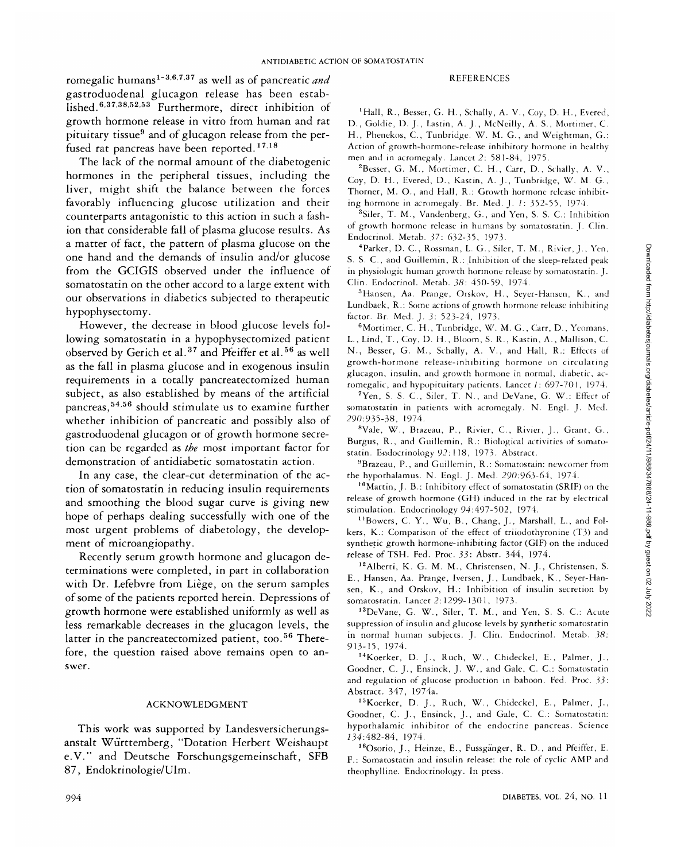romegalic humans<sup>1-3,6,7,37</sup> as well as of pancreatic *and* gastroduodenal glucagon release has been established.<sup>6,37,38,52,53</sup> Furthermore, direct inhibition of growth hormone release in vitro from human and rat pituitary tissue<sup>9</sup> and of glucagon release from the perfused rat pancreas have been reported.<sup>17,18</sup>

The lack of the normal amount of the diabetogenic hormones in the peripheral tissues, including the liver, might shift the balance between the forces favorably influencing glucose utilization and their counterparts antagonistic to this action in such a fashion that considerable fall of plasma glucose results. As a matter of fact, the pattern of plasma glucose on the one hand and the demands of insulin and/or glucose from the GCIGIS observed under the influence of somatostatin on the other accord to a large extent with our observations in diabetics subjected to therapeutic hypophysectomy.

However, the decrease in blood glucose levels following somatostatin in a hypophysectomized patient observed by Gerich et al.<sup>37</sup> and Pfeiffer et al.<sup>56</sup> as well as the fall in plasma glucose and in exogenous insulin requirements in a totally pancreatectomized human subject, as also established by means of the artificial pancreas,<sup>54,56</sup> should stimulate us to examine further whether inhibition of pancreatic and possibly also of gastroduodenal glucagon or of growth hormone secretion can be regarded as *the* most important factor for demonstration of antidiabetic somatostatin action.

In any case, the clear-cut determination of the action of somatostatin in reducing insulin requirements and smoothing the blood sugar curve is giving new hope of perhaps dealing successfully with one of the most urgent problems of diabetology, the development of microangiopathy.

Recently serum growth hormone and glucagon determinations were completed, in part in collaboration with Dr. Lefebvre from Liège, on the serum samples of some of the patients reported herein. Depressions of growth hormone were established uniformly as well as less remarkable decreases in the glucagon levels, the latter in the pancreatectomized patient, too.<sup>56</sup> Therefore, the question raised above remains open to answer.

## ACKNOWLEDGMENT

This work was supported by Landesversicherungsanstalt Wurttemberg, "Dotation Herbert Weishaupt e.V." and Deutsche Forschungsgemeinschaft, SFB 87, Endokrinologie/Ulm.

### REFERENCES

'Hall, R., Besser, G. H., Schally, A. V., Coy, D. H., Evered, D., Goldie, D. J., Lastin, A. J., McNeilly, A. S., Mortimer, C. H., Phenekos, C., Tunbridge. W. M. G., and Weightman, G.: Action of growth-hormone-release inhibitory hormone in healthy men and in acromegaly. Lancet 2: 581-84, 1975.

<sup>2</sup>Besser, G. M., Mortimer, C. H., Carr, D., Schally, A. V., Coy, D. H., Evered, D., Kastin, A. J., Tunbridge, W. M. G., Thorner, M. O., and Hall, R.: Growth hormone release inhibiting hormone in acromegaly. Br. Med. J. 1: 352-55, 1974.

3 Siler, T. M., Vandenberg, G., and Yen, S. S. C: Inhibition of growth hormone release in humans by somatostatin. J. Clin. Endocrmol. Metab. *37:* 632-35, 1973.

<sup>4</sup>Parker, D. C., Rossman, L. G., Siler, T. M., Rivier, J., Yen, S. S. C., and Guillemin, R.: Inhibition of the sleep-related peak in physiologic human growth hormone release by somatostatin. J. Clin. Endocrinol. Metab. 38: 450-59, 1974.

<sup>5</sup> Hansen, Aa. Prange, Orskov, H., Seyer-Hansen, K., and Lundbaek, R.: Some actions of growth hormone release inhibiting factor. Br. Med. J. *3:* 523-24, 1973.

6 Mortimer, C. H., Tunbridge, W. M. G., Carr, D., Yeomans, L., Lind, T., Coy, D. H., Bloom, S. R., Kastin, A., Mallison, C. N., Besser, G. M., Schally, A. V., and Hall, R.: Effects of growth-hormone release-inhibiting hormone on circulating glucagon, insulin, and growth hormone in normal, diabetic, acromegalic, and hypopituitary patients. Lancet /: 697-701, 1974.

<sup>7</sup>Yen, S. S. C., Siler, T. N., and DeVane, G. W.: Effect of somatostatin in patients with acromegaly. N. Engl. J. Med. 290:935-38, 1974.

<sup>8</sup>Vale, W., Brazeau, P., Rivier, C., Rivier, J., Grant, G., Burgus, R., and Guillemin, R.: Biological activities of somatostatin. Endocrinology 92: 118, 1973. Abstract.

9 Brazeau, P., and Guillemin, R.: Somatostain: newcomer from the hypothalamus. N. Engl. J. Med. 290:963-64, 1974.

10Martin, J. B.: Inhibitory effect of somatostatin (SRIF) on the release of growth hormone (GH) induced in the rat by electrical stimulation. Endocrinology *94:497-502,* 1974.

<sup>11</sup>Bowers, C. Y., Wu, B., Chang, J., Marshall, L., and Folkers, K.: Comparison of the effect of triiodothyronine (T3) and synthetic growth hormone-inhibiting factor (GIF) on the induced release of TSH. Fed. Proc. *33:* Abstr. 344, 1974.

12Alberti, K. G. M. M., Christensen, N. J., Christensen, S. E., Hansen, Aa. Prange, Iversen, J., Lundbaek, K., Seyer-Hansen, K., and Orskov, H.: Inhibition of insulin secretion by somatostatin. Lancet 2:1299-1301, 1973.

13DeVane, G. W., Siler, T. M., and Yen, S. S. C: Acute suppression of insulin and glucose levels by synthetic somatostatin in normal human subjects. J. Clin. Endocrinol. Metab. 38: 913-15, 1974.

14Koerker, D. J., Ruch, W., Chideckel, E., Palmer, J., Goodner, C. J., Ensinck, J. W., and Gale, C. C.: Somatostatin and regulation of glucose production in baboon. Fed. Proc. *33:* Abstract. 347, 1974a.

15Koerker, D. J., Ruch, W., Chideckel, E., Palmer, J., Goodner, C. J., Ensinck, J., and Gale, C. C: Somatostatin: hypothalamic inhibitor of the endocrine pancreas. Science 734:482-84, 1974.

16Osorio, J., Heinze, E., Fussganger, R. D., and Pfeiffer, E. F.: Somatostatin and insulin release: the role of cyclic AMP and theophylline. Endocrinology. In press.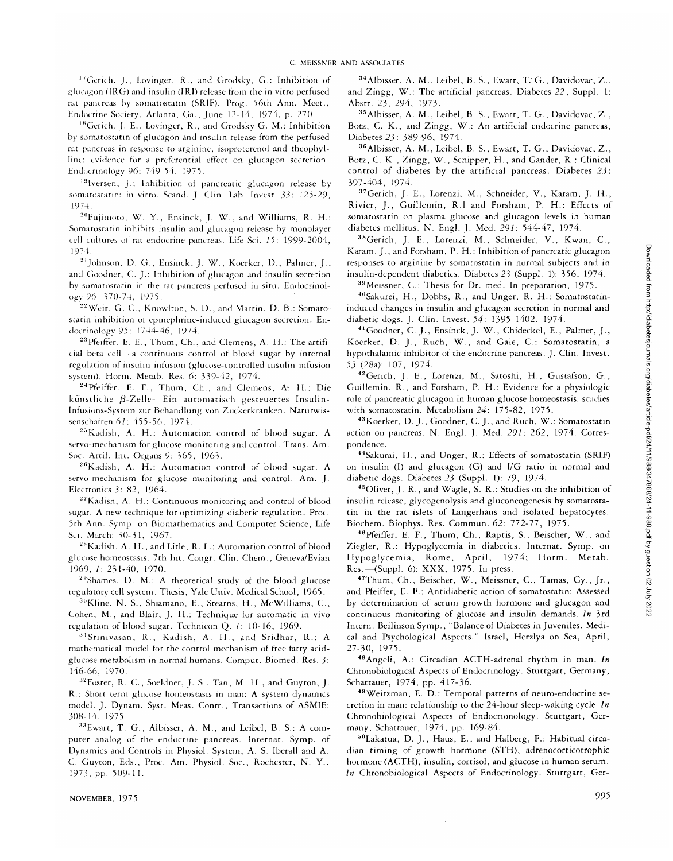<sup>17</sup>Gerich, J., Lovinger, R., and Grodsky, G.: Inhibition of glucagon (IRG) and insulin (IRI) release from the in vitro perfused rat pancreas by somatostatin (SRIF). Prog. 56th Ann. Meet., Endocrine Society, Atlanta, Ga., June 12-14, 1974, p. 270.

18Gerich, J. E., Lovinger, R., and Grodsky G. M.: Inhibition by somatostatin of glucagon and insulin release from the perfused rat pancreas in response to arginine, isoproterenol and theophylline: evidence for a preferential effect on glucagon secretion. Endocrinology 96: 749-54, 1975.

19Iversen, J.: Inhibition of pancreatic glucagon release by somatostatin: in vitro. Scand. J. Clin. Lab. Invest. *33:* 125-29, 1974.

<sup>20</sup>Fujimoto, W. Y., Ensinck, J. W., and Williams, R. H.: Somatostatin inhibits insulin and glucagon release by monolayer cell cultures of rat endocrine pancreas. Life Sci. *15:* 1999-2004, 1974.

2lJohnson, D. G., Ensinck, J. W., Koerker, D., Palmer, J., and Goodner, C. J.: Inhibition of glucagon and insulin secretion by somatostatin in the rat pancreas perfused in situ. Endocrinology *96:* 370-74, 1975.

<sup>22</sup> Weir, G. C., Knowlton, S. D., and Martin, D. B.: Somatostatin inhibition of epinephrine-induced glucagon secretion. Endocrinology *95:* 1744-46, 1974.

23Pfeiffer, E. E., Thum, Ch., and Clemens, A. H.: The artificial beta cell—a continuous control of blood sugar by internal regulation of insulin infusion (glucose-controlled insulin infusion system). Horm. Metab. Res. 6: 339-42, 1974.

 $24$ Pfeiffer, E. F., Thum, Ch., and Clemens, A. H.: Die künstliche  $\beta$ -Zelle—Ein automatisch gesteuertes Insulin-Intusions-System zur Behandlung von Zuckerkranken. Naturwissenschaften *61:* 455-56, 1974.

 $25$ Kadish, A. H.: Automation control of blood sugar. A servo-mechanism for glucose monitoring and control. Trans. Am. Soc. Artif. Int. Organs 9: 365, 1963.

26Kadish, A. H.: Automation control of blood sugar. A servo-mechanism for glucose monitoring and control. Am. J. Electronics *3:* 82, 1964.

27Kadish, A. H.: Continuous monitoring and control of blood sugar. A new technique for optimizing diabetic regulation. Proc. 5th Ann. Symp. on Biomathematics and Computer Science, Life Sci. March: 30-31, 1967.

<sup>28</sup>Kadish, A. H., and Litle, R. L.: Automation control of blood glucose homeostasis. 7th Int. Congr. Clin. Chem., Geneva/Evian 1969, /: 231-40, 1970.

 $29$ Shames, D. M.: A theoretical study of the blood glucose regulatory cell system. Thesis, Yale Univ. Medical School, 1965.

 $30$ Kline, N. S., Shiamano, E., Stearns, H., McWilliams, C., Cohen, M., and Blair, J. H.: Technique for automatic in vivo regulation of blood sugar. Technicon Q. /: 10-16, 1969.

31Srinivasan, R., Kadish, A. II., and Sridhar, R.: A mathematical model for the control mechanism of free fatty acidglucose metabolism in normal humans. Comput. Biomed. Res. *3:* 146-66, 1970.

<sup>32</sup>Foster, R. C., Soeldner, J. S., Tan, M. H., and Guyton, J. R.: Short term glucose homeostasis in man: A system dynamics model. J. Dynam. Syst. Meas. Contr., Transactions of ASMIE: 308-14, 1975.

33Ewart, T. G., Albisser, A. M., and Leibel, B. S.: A computer analog of the endocrine pancreas. Internat. Symp. of Dynamics and Controls in Physiol. System, A. S. Iberall and A. C. Guyton, Eds., Proc. Am. Physiol. Soc, Rochester, N. Y., 1973, pp. 509-11.

34Albisser, A. M., Leibel, B. S., Ewart, T.G. , Davidovac, Z., and Zingg, W.: The artificial pancreas. Diabetes *22,* Suppl. 1: Abstr. 23, 294, 1973.

35Albisser, A. M., Leibel, B. S., Ewart, T. G., Davidovac, Z., Botz, C. K., and Zingg, W.: An artificial endocrine pancreas, Diabetes 23: 389-96, 1974.

36Albisser, A. M., Leibel, B. S., Ewart, T. G., Davidovac, Z., Botz, C. K., Zingg, W., Schipper, H., and Gander, R.: Clinical control of diabetes by the artificial pancreas. Diabetes *23:* 397-404, 1974.

37Gerich, J. E., Lorenzi, M., Schneider, V., Karam, J. H., Rivier, J., Guillemin, R.I and Forsham, P. H.: Effects of somatostatin on plasma glucose and glucagon levels in human diabetes mellitus. N. Engl. J. Med. *291:* 544-47, 1974.

<sup>38</sup>Gerich, J. E., Lorenzi, M., Schneider, V., Kwan, C., Karam, J., and Forsham, P. H.: Inhibition of pancreatic glucagon responses to arginine by somatostatin in normal subjects and in insulin-dependent diabetics. Diabetes *23* (Suppl. 1): 356, 1974.

<sup>39</sup>Meissner, C.: Thesis for Dr. med. In preparation, 1975.

40Sakurei, H., Dobbs, R., and Unger, R. H.: Somatostatininduced changes in insulin and glucagon secretion in normal and diabetic dogs. J. Clin. Invest. *54:* 1395-1402, 1974.

41Goodner, C. J., Ensinck, J. W., Chideckel, E., Palmer, J., Koerker, D. J., Ruch, W., and Gale, C.: Somatostatin, a hypothalamic inhibitor of the endocrine pancreas. J. Clin. Invest. *53* (28a): 107, 1974.

42Gerich, J. E., Lorenzi, M., Satoshi, H., Gustafson, G., Guillemin, R., and Forsham, P. H.: Evidence for a physiologic role of pancreatic glucagon in human glucose homeostasis: studies with somatostatin. Metabolism *24:* 175-82, 1975.

43Koerker, D. J., Goodner, C. J., and Ruch, W.: Somatostatin action on pancreas. N. Engl. J. Med. *291:* 262, 1974. Correspondence.

44Sakurai, H., and Unger, R.: Effects of somatostatin (SRIF) on insulin (I) and glucagon (G) and I/G ratio in normal and diabetic dogs. Diabetes *23* (Suppl. 1): 79, 1974.

45Oliver, J. R., and Wagle, S. R.: Studies on the inhibition of insulin release, glycogenolysis and gluconeogenesis by somatostatin in the rat islets of Langerhans and isolated hepatocytes. Biochem. Biophys. Res. Commun. *62:* 772-77', 1975.

46Pfeiffer, E. F., Thum, Ch., Raptis, S., Beischer, W., and Ziegler, R.: Hypoglycemia in diabetics. Internat. Symp. on Hypoglycemia, Rome, April, 1974; Horm. Metab. Res.—(Suppl. 6): XXX, 1975. In press.

<sup>47</sup>Thum, Ch., Beischer, W., Meissner, C., Tamas, Gy., Jr., and Pfeiffer, E. F.: Antidiabetic action of somatostatin: Assessed by determination of serum growth hormone and glucagon and continuous monitoring of glucose and insulin demands. *In* 3rd Intern. Beilinson Symp., "Balance of Diabetes in Juveniles. Medical and Psychological Aspects." Israel, Herzlya on Sea, April, 27-30, 1975.

48Angeli, A.: Circadian ACTH-adrenal rhythm in man. *In* Chronobiological Aspects of Endocrinology. Stuttgart, Germany, Schattauer, 1974, pp. 417-36.

49Weitzman, E. D.: Temporal patterns of neuro-endocrine secretion in man: relationship to the 24-hour sleep-waking cycle. *In* Chronobiological Aspects of Endocrionology. Stuttgart, Germany, Schattauer, 1974, pp. 169-84.

50Lakatua, D. J., Haus, E., and Halberg, F.: Habitual circadian timing of growth hormone (STH), adrenocorticotrophic hormone (ACTH), insulin, cortisol, and glucose in human serum. *In* Chronobiological Aspects of Endocrinology. Stuttgart, Ger-